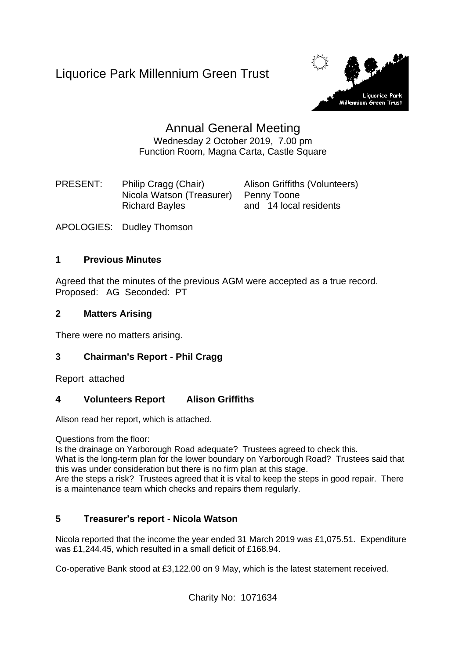Liquorice Park Millennium Green Trust



# Annual General Meeting Wednesday 2 October 2019, 7.00 pm Function Room, Magna Carta, Castle Square

PRESENT: Philip Cragg (Chair) Alison Griffiths (Volunteers) Nicola Watson (Treasurer) Penny Toone Richard Bayles and 14 local residents

APOLOGIES: Dudley Thomson

# **1 Previous Minutes**

Agreed that the minutes of the previous AGM were accepted as a true record. Proposed: AG Seconded: PT

# **2 Matters Arising**

There were no matters arising.

# **3 Chairman's Report - Phil Cragg**

Report attached

# **4 Volunteers Report Alison Griffiths**

Alison read her report, which is attached.

Questions from the floor:

Is the drainage on Yarborough Road adequate? Trustees agreed to check this.

What is the long-term plan for the lower boundary on Yarborough Road? Trustees said that this was under consideration but there is no firm plan at this stage.

Are the steps a risk? Trustees agreed that it is vital to keep the steps in good repair. There is a maintenance team which checks and repairs them regularly.

# **5 Treasurer's report - Nicola Watson**

Nicola reported that the income the year ended 31 March 2019 was £1,075.51. Expenditure was £1,244.45, which resulted in a small deficit of £168.94.

Co-operative Bank stood at £3,122.00 on 9 May, which is the latest statement received.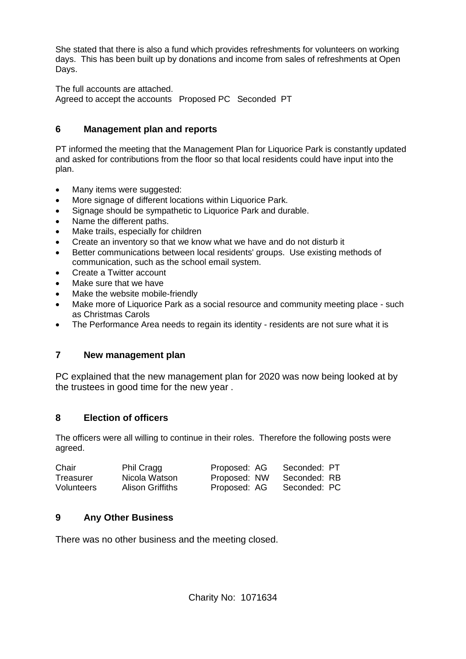She stated that there is also a fund which provides refreshments for volunteers on working days. This has been built up by donations and income from sales of refreshments at Open Days.

The full accounts are attached.

Agreed to accept the accounts Proposed PC Seconded PT

# **6 Management plan and reports**

PT informed the meeting that the Management Plan for Liquorice Park is constantly updated and asked for contributions from the floor so that local residents could have input into the plan.

- Many items were suggested:
- More signage of different locations within Liquorice Park.
- Signage should be sympathetic to Liquorice Park and durable.
- Name the different paths.
- Make trails, especially for children
- Create an inventory so that we know what we have and do not disturb it
- Better communications between local residents' groups. Use existing methods of communication, such as the school email system.
- Create a Twitter account
- Make sure that we have
- Make the website mobile-friendly
- Make more of Liquorice Park as a social resource and community meeting place such as Christmas Carols
- The Performance Area needs to regain its identity residents are not sure what it is

# **7 New management plan**

PC explained that the new management plan for 2020 was now being looked at by the trustees in good time for the new year .

# **8 Election of officers**

The officers were all willing to continue in their roles. Therefore the following posts were agreed.

| Chair      | <b>Phil Cragg</b>       | Proposed: AG | Seconded: PT |
|------------|-------------------------|--------------|--------------|
| Treasurer  | Nicola Watson           | Proposed: NW | Seconded: RB |
| Volunteers | <b>Alison Griffiths</b> | Proposed: AG | Seconded: PC |

# **9 Any Other Business**

There was no other business and the meeting closed.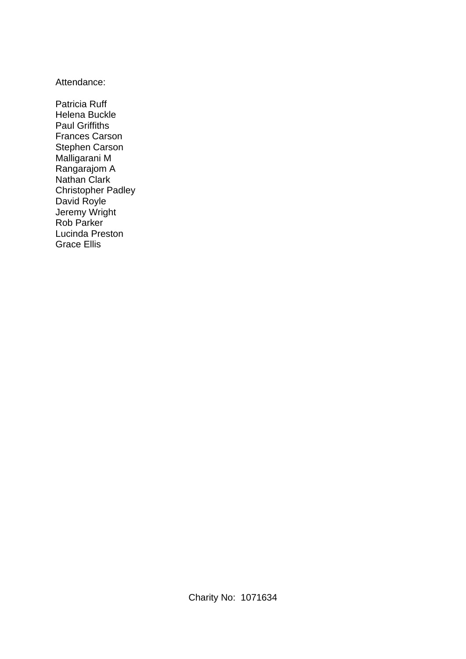### Attendance:

Patricia Ruff Helena Buckle Paul Griffiths Frances Carson Stephen Carson Malligarani M Rangarajom A Nathan Clark Christopher Padley David Royle Jeremy Wright Rob Parker Lucinda Preston Grace Ellis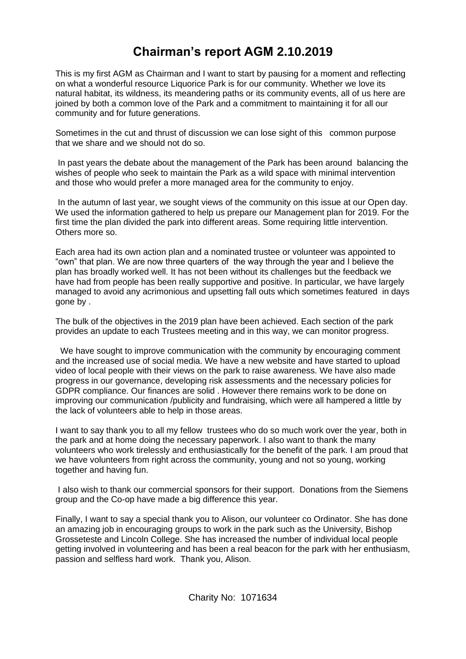# **Chairman's report AGM 2.10.2019**

This is my first AGM as Chairman and I want to start by pausing for a moment and reflecting on what a wonderful resource Liquorice Park is for our community. Whether we love its natural habitat, its wildness, its meandering paths or its community events, all of us here are joined by both a common love of the Park and a commitment to maintaining it for all our community and for future generations.

Sometimes in the cut and thrust of discussion we can lose sight of this common purpose that we share and we should not do so.

In past years the debate about the management of the Park has been around balancing the wishes of people who seek to maintain the Park as a wild space with minimal intervention and those who would prefer a more managed area for the community to enjoy.

In the autumn of last year, we sought views of the community on this issue at our Open day. We used the information gathered to help us prepare our Management plan for 2019. For the first time the plan divided the park into different areas. Some requiring little intervention. Others more so.

Each area had its own action plan and a nominated trustee or volunteer was appointed to "own" that plan. We are now three quarters of the way through the year and I believe the plan has broadly worked well. It has not been without its challenges but the feedback we have had from people has been really supportive and positive. In particular, we have largely managed to avoid any acrimonious and upsetting fall outs which sometimes featured in days gone by .

The bulk of the objectives in the 2019 plan have been achieved. Each section of the park provides an update to each Trustees meeting and in this way, we can monitor progress.

We have sought to improve communication with the community by encouraging comment and the increased use of social media. We have a new website and have started to upload video of local people with their views on the park to raise awareness. We have also made progress in our governance, developing risk assessments and the necessary policies for GDPR compliance. Our finances are solid . However there remains work to be done on improving our communication /publicity and fundraising, which were all hampered a little by the lack of volunteers able to help in those areas.

I want to say thank you to all my fellow trustees who do so much work over the year, both in the park and at home doing the necessary paperwork. I also want to thank the many volunteers who work tirelessly and enthusiastically for the benefit of the park. I am proud that we have volunteers from right across the community, young and not so young, working together and having fun.

I also wish to thank our commercial sponsors for their support. Donations from the Siemens group and the Co-op have made a big difference this year.

Finally, I want to say a special thank you to Alison, our volunteer co Ordinator. She has done an amazing job in encouraging groups to work in the park such as the University, Bishop Grosseteste and Lincoln College. She has increased the number of individual local people getting involved in volunteering and has been a real beacon for the park with her enthusiasm, passion and selfless hard work. Thank you, Alison.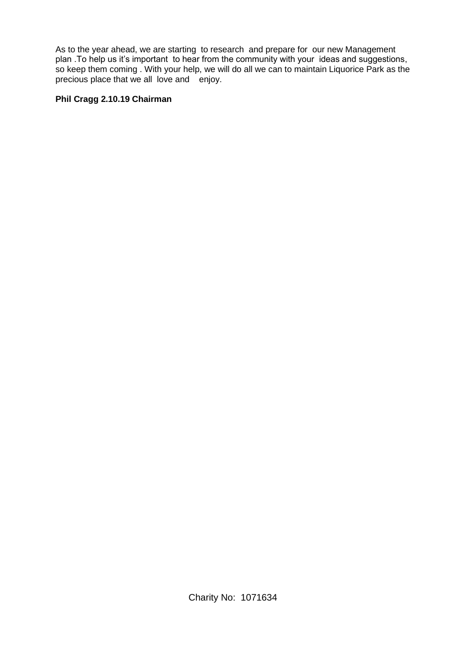As to the year ahead, we are starting to research and prepare for our new Management plan .To help us it's important to hear from the community with your ideas and suggestions, so keep them coming . With your help, we will do all we can to maintain Liquorice Park as the precious place that we all love and enjoy.

#### **Phil Cragg 2.10.19 Chairman**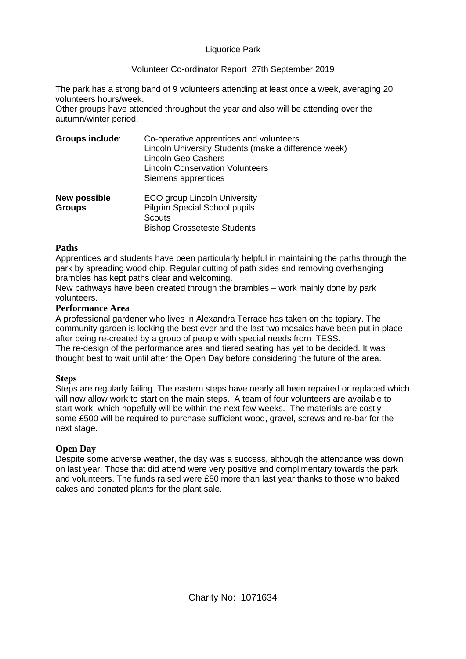#### Liquorice Park

#### Volunteer Co-ordinator Report 27th September 2019

The park has a strong band of 9 volunteers attending at least once a week, averaging 20 volunteers hours/week.

Other groups have attended throughout the year and also will be attending over the autumn/winter period.

| <b>Groups include:</b>               | Co-operative apprentices and volunteers<br>Lincoln University Students (make a difference week)<br><b>Lincoln Geo Cashers</b><br><b>Lincoln Conservation Volunteers</b><br>Siemens apprentices |
|--------------------------------------|------------------------------------------------------------------------------------------------------------------------------------------------------------------------------------------------|
| <b>New possible</b><br><b>Groups</b> | <b>ECO group Lincoln University</b><br><b>Pilgrim Special School pupils</b>                                                                                                                    |
|                                      | Scouts<br><b>Bishop Grosseteste Students</b>                                                                                                                                                   |

#### **Paths**

Apprentices and students have been particularly helpful in maintaining the paths through the park by spreading wood chip. Regular cutting of path sides and removing overhanging brambles has kept paths clear and welcoming.

New pathways have been created through the brambles – work mainly done by park volunteers.

#### **Performance Area**

A professional gardener who lives in Alexandra Terrace has taken on the topiary. The community garden is looking the best ever and the last two mosaics have been put in place after being re-created by a group of people with special needs from TESS.

The re-design of the performance area and tiered seating has yet to be decided. It was thought best to wait until after the Open Day before considering the future of the area.

#### **Steps**

Steps are regularly failing. The eastern steps have nearly all been repaired or replaced which will now allow work to start on the main steps. A team of four volunteers are available to start work, which hopefully will be within the next few weeks. The materials are costly – some £500 will be required to purchase sufficient wood, gravel, screws and re-bar for the next stage.

#### **Open Day**

Despite some adverse weather, the day was a success, although the attendance was down on last year. Those that did attend were very positive and complimentary towards the park and volunteers. The funds raised were £80 more than last year thanks to those who baked cakes and donated plants for the plant sale.